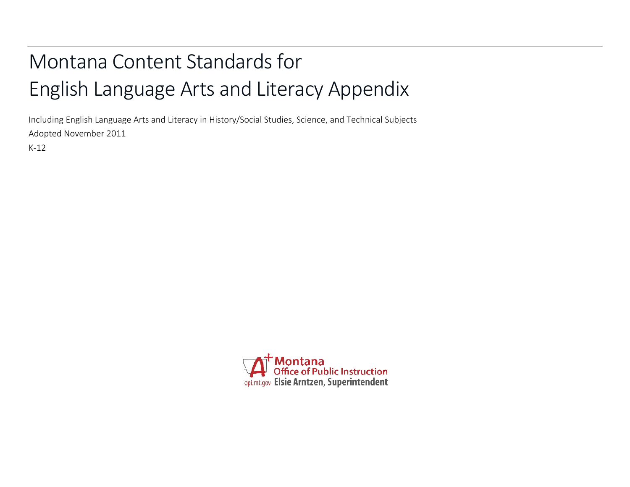# Montana Content Standards for English Language Arts and Literacy Appendix

Including English Language Arts and Literacy in History/Social Studies, Science, and Technical Subjects Adopted November 2011

K-12

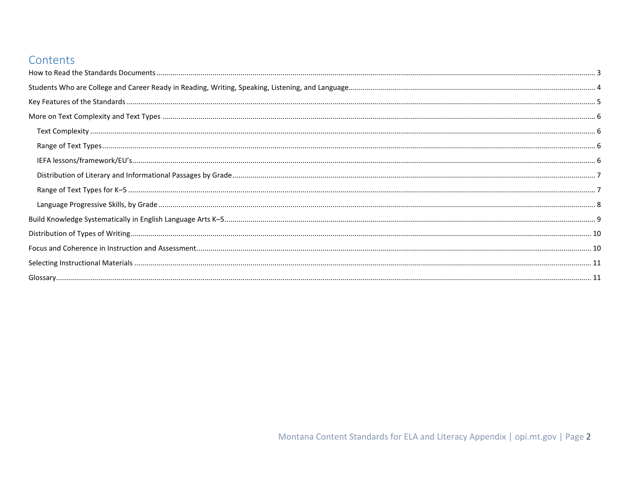# Contents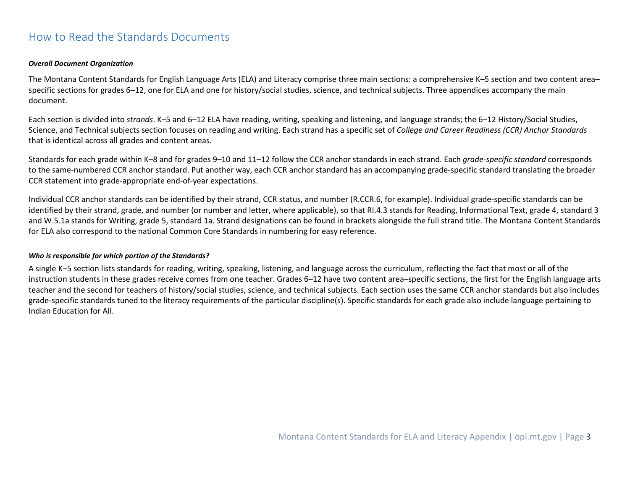### <span id="page-2-0"></span>How to Read the Standards Documents

#### *Overall Document Organization*

The Montana Content Standards for English Language Arts (ELA) and Literacy comprise three main sections: a comprehensive K–5 section and two content area– specific sections for grades 6–12, one for ELA and one for history/social studies, science, and technical subjects. Three appendices accompany the main document.

Each section is divided into *strands*. K–5 and 6–12 ELA have reading, writing, speaking and listening, and language strands; the 6–12 History/Social Studies, Science, and Technical subjects section focuses on reading and writing. Each strand has a specific set of *College and Career Readiness (CCR) Anchor Standards* that is identical across all grades and content areas.

Standards for each grade within K–8 and for grades 9–10 and 11–12 follow the CCR anchor standards in each strand. Each *grade-specific standard* corresponds to the same-numbered CCR anchor standard. Put another way, each CCR anchor standard has an accompanying grade-specific standard translating the broader CCR statement into grade-appropriate end-of-year expectations.

Individual CCR anchor standards can be identified by their strand, CCR status, and number (R.CCR.6, for example). Individual grade-specific standards can be identified by their strand, grade, and number (or number and letter, where applicable), so that RI.4.3 stands for Reading, Informational Text, grade 4, standard 3 and W.5.1a stands for Writing, grade 5, standard 1a. Strand designations can be found in brackets alongside the full strand title. The Montana Content Standards for ELA also correspond to the national Common Core Standards in numbering for easy reference.

#### *Who is responsible for which portion of the Standards?*

A single K–5 section lists standards for reading, writing, speaking, listening, and language across the curriculum, reflecting the fact that most or all of the instruction students in these grades receive comes from one teacher. Grades 6–12 have two content area–specific sections, the first for the English language arts teacher and the second for teachers of history/social studies, science, and technical subjects. Each section uses the same CCR anchor standards but also includes grade-specific standards tuned to the literacy requirements of the particular discipline(s). Specific standards for each grade also include language pertaining to Indian Education for All.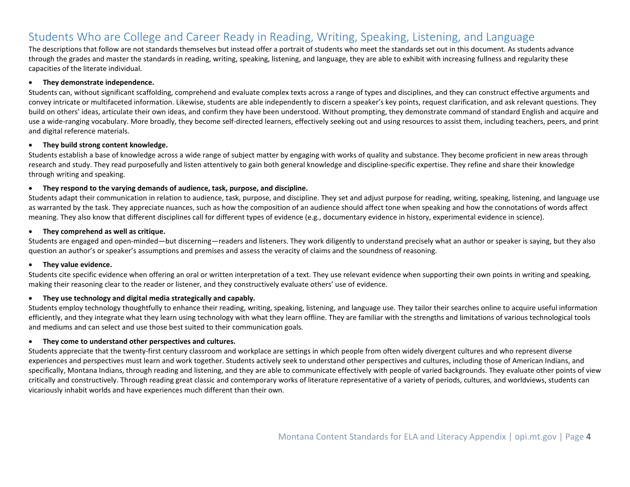# <span id="page-3-0"></span>Students Who are College and Career Ready in Reading, Writing, Speaking, Listening, and Language

The descriptions that follow are not standards themselves but instead offer a portrait of students who meet the standards set out in this document. As students advance through the grades and master the standards in reading, writing, speaking, listening, and language, they are able to exhibit with increasing fullness and regularity these capacities of the literate individual.

#### • **They demonstrate independence.**

Students can, without significant scaffolding, comprehend and evaluate complex texts across a range of types and disciplines, and they can construct effective arguments and convey intricate or multifaceted information. Likewise, students are able independently to discern a speaker's key points, request clarification, and ask relevant questions. They build on others' ideas, articulate their own ideas, and confirm they have been understood. Without prompting, they demonstrate command of standard English and acquire and use a wide-ranging vocabulary. More broadly, they become self-directed learners, effectively seeking out and using resources to assist them, including teachers, peers, and print and digital reference materials.

#### • **They build strong content knowledge.**

Students establish a base of knowledge across a wide range of subject matter by engaging with works of quality and substance. They become proficient in new areas through research and study. They read purposefully and listen attentively to gain both general knowledge and discipline-specific expertise. They refine and share their knowledge through writing and speaking.

#### • **They respond to the varying demands of audience, task, purpose, and discipline.**

Students adapt their communication in relation to audience, task, purpose, and discipline. They set and adjust purpose for reading, writing, speaking, listening, and language use as warranted by the task. They appreciate nuances, such as how the composition of an audience should affect tone when speaking and how the connotations of words affect meaning. They also know that different disciplines call for different types of evidence (e.g., documentary evidence in history, experimental evidence in science).

#### • **They comprehend as well as critique.**

Students are engaged and open-minded—but discerning—readers and listeners. They work diligently to understand precisely what an author or speaker is saying, but they also question an author's or speaker's assumptions and premises and assess the veracity of claims and the soundness of reasoning.

#### • **They value evidence.**

Students cite specific evidence when offering an oral or written interpretation of a text. They use relevant evidence when supporting their own points in writing and speaking, making their reasoning clear to the reader or listener, and they constructively evaluate others' use of evidence.

#### • **They use technology and digital media strategically and capably.**

Students employ technology thoughtfully to enhance their reading, writing, speaking, listening, and language use. They tailor their searches online to acquire useful information efficiently, and they integrate what they learn using technology with what they learn offline. They are familiar with the strengths and limitations of various technological tools and mediums and can select and use those best suited to their communication goals.

#### • **They come to understand other perspectives and cultures.**

Students appreciate that the twenty-first century classroom and workplace are settings in which people from often widely divergent cultures and who represent diverse experiences and perspectives must learn and work together. Students actively seek to understand other perspectives and cultures, including those of American Indians, and specifically, Montana Indians, through reading and listening, and they are able to communicate effectively with people of varied backgrounds. They evaluate other points of view critically and constructively. Through reading great classic and contemporary works of literature representative of a variety of periods, cultures, and worldviews, students can vicariously inhabit worlds and have experiences much different than their own.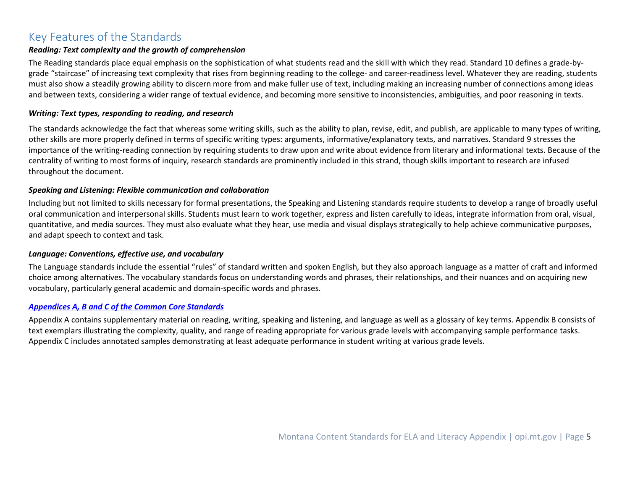## <span id="page-4-0"></span>Key Features of the Standards

#### *Reading: Text complexity and the growth of comprehension*

The Reading standards place equal emphasis on the sophistication of what students read and the skill with which they read. Standard 10 defines a grade-bygrade "staircase" of increasing text complexity that rises from beginning reading to the college- and career-readiness level. Whatever they are reading, students must also show a steadily growing ability to discern more from and make fuller use of text, including making an increasing number of connections among ideas and between texts, considering a wider range of textual evidence, and becoming more sensitive to inconsistencies, ambiguities, and poor reasoning in texts.

#### *Writing: Text types, responding to reading, and research*

The standards acknowledge the fact that whereas some writing skills, such as the ability to plan, revise, edit, and publish, are applicable to many types of writing, other skills are more properly defined in terms of specific writing types: arguments, informative/explanatory texts, and narratives. Standard 9 stresses the importance of the writing-reading connection by requiring students to draw upon and write about evidence from literary and informational texts. Because of the centrality of writing to most forms of inquiry, research standards are prominently included in this strand, though skills important to research are infused throughout the document.

#### *Speaking and Listening: Flexible communication and collaboration*

Including but not limited to skills necessary for formal presentations, the Speaking and Listening standards require students to develop a range of broadly useful oral communication and interpersonal skills. Students must learn to work together, express and listen carefully to ideas, integrate information from oral, visual, quantitative, and media sources. They must also evaluate what they hear, use media and visual displays strategically to help achieve communicative purposes, and adapt speech to context and task.

#### *Language: Conventions, effective use, and vocabulary*

The Language standards include the essential "rules" of standard written and spoken English, but they also approach language as a matter of craft and informed choice among alternatives. The vocabulary standards focus on understanding words and phrases, their relationships, and their nuances and on acquiring new vocabulary, particularly general academic and domain-specific words and phrases.

#### *[Appendices A, B and C of the Common Core Standards](http://www.corestandards.org/ELA-Literacy/)*

Appendix A contains supplementary material on reading, writing, speaking and listening, and language as well as a glossary of key terms. Appendix B consists of text exemplars illustrating the complexity, quality, and range of reading appropriate for various grade levels with accompanying sample performance tasks. Appendix C includes annotated samples demonstrating at least adequate performance in student writing at various grade levels.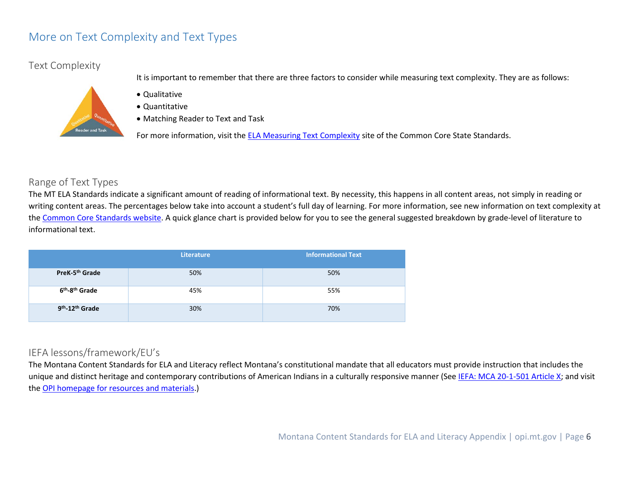# <span id="page-5-0"></span>More on Text Complexity and Text Types

### <span id="page-5-1"></span>Text Complexity

It is important to remember that there are three factors to consider while measuring text complexity. They are as follows:

- Qualitative
- Quantitative
- Matching Reader to Text and Task

For more information, visit th[e ELA Measuring Text Complexity](http://www.corestandards.org/ELA-Literacy/standard-10-range-quality-complexity/measuring-text-complexity-three-factors/) site of the Common Core State Standards.

### <span id="page-5-2"></span>Range of Text Types

The MT ELA Standards indicate a significant amount of reading of informational text. By necessity, this happens in all content areas, not simply in reading or writing content areas. The percentages below take into account a student's full day of learning. For more information, see new information on text complexity at the [Common Core Standards website.](http://www.corestandards.org/wp-content/uploads/Appendix-A-New-Research-on-Text-Complexity.pdf) A quick glance chart is provided below for you to see the general suggested breakdown by grade-level of literature to informational text.

|                                        | <b>Literature</b> | <b>Informational Text</b> |
|----------------------------------------|-------------------|---------------------------|
| PreK-5 <sup>th</sup> Grade             | 50%               | 50%                       |
| 6 <sup>th</sup> -8 <sup>th</sup> Grade | 45%               | 55%                       |
| 9th <sub>-12th</sub> Grade             | 30%               | 70%                       |

### <span id="page-5-3"></span>IEFA lessons/framework/EU's

The Montana Content Standards for ELA and Literacy reflect Montana's constitutional mandate that all educators must provide instruction that includes the unique and distinct heritage and contemporary contributions of American Indians in a culturally responsive manner (See [IEFA: MCA 20-1-501 Article X;](http://leg.mt.gov/bills/mca/20/1/20-1-501.htm) and visit the [OPI homepage for resources and materials.](http://opi.mt.gov/Educators/Teaching-Learning/Indian-Education))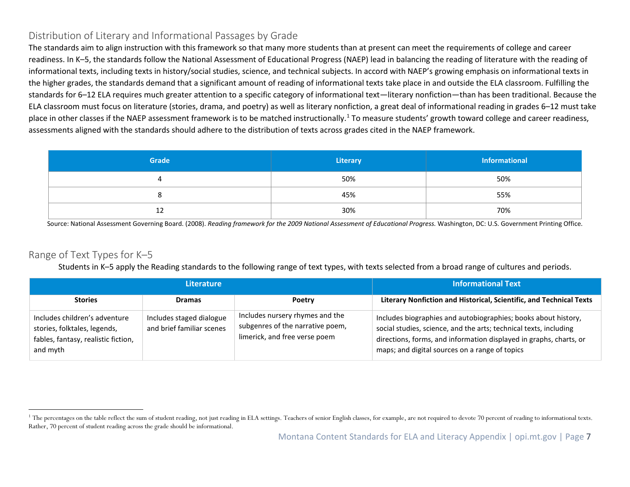### <span id="page-6-2"></span><span id="page-6-0"></span>Distribution of Literary and Informational Passages by Grade

The standards aim to align instruction with this framework so that many more students than at present can meet the requirements of college and career readiness. In K–5, the standards follow the National Assessment of Educational Progress (NAEP) lead in balancing the reading of literature with the reading of informational texts, including texts in history/social studies, science, and technical subjects. In accord with NAEP's growing emphasis on informational texts in the higher grades, the standards demand that a significant amount of reading of informational texts take place in and outside the ELA classroom. Fulfilling the standards for 6–12 ELA requires much greater attention to a specific category of informational text—literary nonfiction—than has been traditional. Because the ELA classroom must focus on literature (stories, drama, and poetry) as well as literary nonfiction, a great deal of informational reading in grades 6–12 must take place in other classes if the NAEP assessment framework is to be matched instructionally.<sup>[1](#page-6-2)</sup> To measure students' growth toward college and career readiness, assessments aligned with the standards should adhere to the distribution of texts across grades cited in the NAEP framework.

| Grade | <b>Literary</b> | Informational |
|-------|-----------------|---------------|
|       | 50%             | 50%           |
|       | 45%             | 55%           |
| 12    | 30%             | 70%           |

Source: National Assessment Governing Board. (2008). *Reading framework for the 2009 National Assessment of Educational Progress.* Washington, DC: U.S. Government Printing Office.

### <span id="page-6-1"></span>Range of Text Types for K–5

 $\overline{a}$ 

Students in K–5 apply the Reading standards to the following range of text types, with texts selected from a broad range of cultures and periods.

|                                                                                                                  | <b>Literature</b>                                     | <b>Informational Text</b>                                                                            |                                                                                                                                                                                                                                                             |  |
|------------------------------------------------------------------------------------------------------------------|-------------------------------------------------------|------------------------------------------------------------------------------------------------------|-------------------------------------------------------------------------------------------------------------------------------------------------------------------------------------------------------------------------------------------------------------|--|
| <b>Stories</b>                                                                                                   | <b>Dramas</b>                                         | <b>Poetry</b>                                                                                        | Literary Nonfiction and Historical, Scientific, and Technical Texts                                                                                                                                                                                         |  |
| Includes children's adventure<br>stories, folktales, legends,<br>fables, fantasy, realistic fiction,<br>and myth | Includes staged dialogue<br>and brief familiar scenes | Includes nursery rhymes and the<br>subgenres of the narrative poem,<br>limerick, and free verse poem | Includes biographies and autobiographies; books about history,<br>social studies, science, and the arts; technical texts, including<br>directions, forms, and information displayed in graphs, charts, or<br>maps; and digital sources on a range of topics |  |

<sup>&</sup>lt;sup>1</sup> The percentages on the table reflect the sum of student reading, not just reading in ELA settings. Teachers of senior English classes, for example, are not required to devote 70 percent of reading to informational text Rather, 70 percent of student reading across the grade should be informational.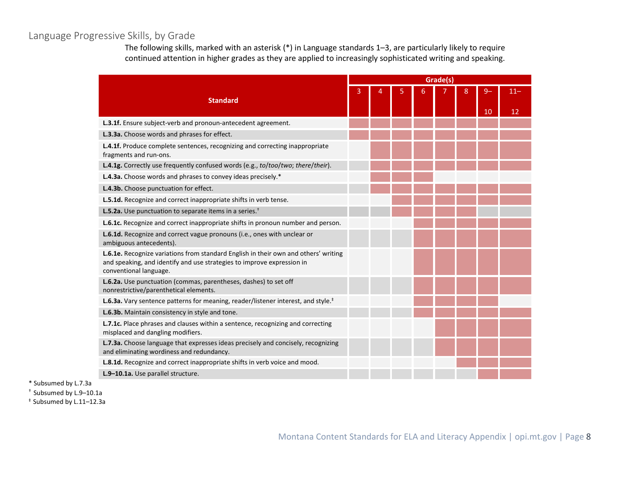### <span id="page-7-0"></span>Language Progressive Skills, by Grade

The following skills, marked with an asterisk (\*) in Language standards 1–3, are particularly likely to require continued attention in higher grades as they are applied to increasingly sophisticated writing and speaking.

|                                                                                                                                                                                         | Grade(s) |  |  |   |   |       |        |
|-----------------------------------------------------------------------------------------------------------------------------------------------------------------------------------------|----------|--|--|---|---|-------|--------|
| <b>Standard</b>                                                                                                                                                                         | 3        |  |  | 6 | 8 | $Q -$ | $11 -$ |
|                                                                                                                                                                                         |          |  |  |   |   | 10    | 12     |
| L.3.1f. Ensure subject-verb and pronoun-antecedent agreement.                                                                                                                           |          |  |  |   |   |       |        |
| L.3.3a. Choose words and phrases for effect.                                                                                                                                            |          |  |  |   |   |       |        |
| L.4.1f. Produce complete sentences, recognizing and correcting inappropriate<br>fragments and run-ons.                                                                                  |          |  |  |   |   |       |        |
| L.4.1g. Correctly use frequently confused words (e.g., to/too/two; there/their).                                                                                                        |          |  |  |   |   |       |        |
| L.4.3a. Choose words and phrases to convey ideas precisely.*                                                                                                                            |          |  |  |   |   |       |        |
| L.4.3b. Choose punctuation for effect.                                                                                                                                                  |          |  |  |   |   |       |        |
| <b>L.5.1d.</b> Recognize and correct inappropriate shifts in verb tense.                                                                                                                |          |  |  |   |   |       |        |
| <b>L.5.2a.</b> Use punctuation to separate items in a series. <sup>†</sup>                                                                                                              |          |  |  |   |   |       |        |
| <b>L.6.1c.</b> Recognize and correct inappropriate shifts in pronoun number and person.                                                                                                 |          |  |  |   |   |       |        |
| <b>L.6.1d.</b> Recognize and correct vague pronouns (i.e., ones with unclear or<br>ambiguous antecedents).                                                                              |          |  |  |   |   |       |        |
| L.6.1e. Recognize variations from standard English in their own and others' writing<br>and speaking, and identify and use strategies to improve expression in<br>conventional language. |          |  |  |   |   |       |        |
| L.6.2a. Use punctuation (commas, parentheses, dashes) to set off<br>nonrestrictive/parenthetical elements.                                                                              |          |  |  |   |   |       |        |
| <b>L.6.3a.</b> Vary sentence patterns for meaning, reader/listener interest, and style. <sup>‡</sup>                                                                                    |          |  |  |   |   |       |        |
| L.6.3b. Maintain consistency in style and tone.                                                                                                                                         |          |  |  |   |   |       |        |
| <b>L.7.1c.</b> Place phrases and clauses within a sentence, recognizing and correcting<br>misplaced and dangling modifiers.                                                             |          |  |  |   |   |       |        |
| L.7.3a. Choose language that expresses ideas precisely and concisely, recognizing<br>and eliminating wordiness and redundancy.                                                          |          |  |  |   |   |       |        |
| L.8.1d. Recognize and correct inappropriate shifts in verb voice and mood.                                                                                                              |          |  |  |   |   |       |        |
| L.9-10.1a. Use parallel structure.                                                                                                                                                      |          |  |  |   |   |       |        |

#### \* Subsumed by L.7.3a

† Subsumed by L.9–10.1a

‡ Subsumed by L.11–12.3a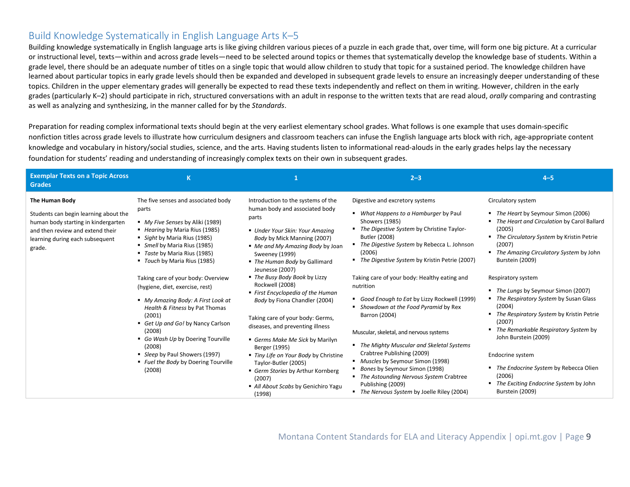### <span id="page-8-0"></span>Build Knowledge Systematically in English Language Arts K–5

Building knowledge systematically in English language arts is like giving children various pieces of a puzzle in each grade that, over time, will form one big picture. At a curricular or instructional level, texts—within and across grade levels—need to be selected around topics or themes that systematically develop the knowledge base of students. Within a grade level, there should be an adequate number of titles on a single topic that would allow children to study that topic for a sustained period. The knowledge children have learned about particular topics in early grade levels should then be expanded and developed in subsequent grade levels to ensure an increasingly deeper understanding of these topics. Children in the upper elementary grades will generally be expected to read these texts independently and reflect on them in writing. However, children in the early grades (particularly K–2) should participate in rich, structured conversations with an adult in response to the written texts that are read aloud, *orally* comparing and contrasting as well as analyzing and synthesizing, in the manner called for by the *Standards*.

Preparation for reading complex informational texts should begin at the very earliest elementary school grades. What follows is one example that uses domain-specific nonfiction titles across grade levels to illustrate how curriculum designers and classroom teachers can infuse the English language arts block with rich, age-appropriate content knowledge and vocabulary in history/social studies, science, and the arts. Having students listen to informational read-alouds in the early grades helps lay the necessary foundation for students' reading and understanding of increasingly complex texts on their own in subsequent grades.

| <b>Exemplar Texts on a Topic Across</b><br><b>Grades</b>                                                                                                                        |                                                                                                                                                                                                                                                                                                                                 |                                                                                                                                                                                                                                                                                                                                                                                                               | $2 - 3$                                                                                                                                                                                                                                                                                                                                                                                                                                                                       | $4 - 5$                                                                                                                                                                                                                                                                                                                                                                   |
|---------------------------------------------------------------------------------------------------------------------------------------------------------------------------------|---------------------------------------------------------------------------------------------------------------------------------------------------------------------------------------------------------------------------------------------------------------------------------------------------------------------------------|---------------------------------------------------------------------------------------------------------------------------------------------------------------------------------------------------------------------------------------------------------------------------------------------------------------------------------------------------------------------------------------------------------------|-------------------------------------------------------------------------------------------------------------------------------------------------------------------------------------------------------------------------------------------------------------------------------------------------------------------------------------------------------------------------------------------------------------------------------------------------------------------------------|---------------------------------------------------------------------------------------------------------------------------------------------------------------------------------------------------------------------------------------------------------------------------------------------------------------------------------------------------------------------------|
| The Human Body<br>Students can begin learning about the<br>human body starting in kindergarten<br>and then review and extend their<br>learning during each subsequent<br>grade. | The five senses and associated body<br>parts<br>My Five Senses by Aliki (1989)<br>Hearing by Maria Rius (1985)<br>Sight by Maria Rius (1985)<br>Smell by Maria Rius (1985)<br>Taste by Maria Rius (1985)<br>Touch by Maria Rius (1985)                                                                                          | Introduction to the systems of the<br>human body and associated body<br>parts<br>Under Your Skin: Your Amazing<br>Body by Mick Manning (2007)<br>" Me and My Amazing Body by Joan<br>Sweeney (1999)<br>The Human Body by Gallimard<br>Jeunesse (2007)                                                                                                                                                         | Digestive and excretory systems<br>• What Happens to a Hamburger by Paul<br><b>Showers (1985)</b><br>• The Digestive System by Christine Taylor-<br>Butler (2008)<br>• The Digestive System by Rebecca L. Johnson<br>(2006)<br>■ The Digestive System by Kristin Petrie (2007)                                                                                                                                                                                                | Circulatory system<br>■ The Heart by Seymour Simon (2006)<br>The Heart and Circulation by Carol Ballard<br>(2005)<br>The Circulatory System by Kristin Petrie<br>(2007)<br>The Amazing Circulatory System by John<br>Burstein (2009)                                                                                                                                      |
|                                                                                                                                                                                 | Taking care of your body: Overview<br>(hygiene, diet, exercise, rest)<br>My Amazing Body: A First Look at<br>Health & Fitness by Pat Thomas<br>(2001)<br>Get Up and Go! by Nancy Carlson<br>(2008)<br>Go Wash Up by Doering Tourville<br>(2008)<br>Sleep by Paul Showers (1997)<br>Fuel the Body by Doering Tourville<br>(2008) | ■ The Busy Body Book by Lizzy<br>Rockwell (2008)<br>■ First Encyclopedia of the Human<br>Body by Fiona Chandler (2004)<br>Taking care of your body: Germs,<br>diseases, and preventing illness<br>Germs Make Me Sick by Marilyn<br>Berger (1995)<br>" Tiny Life on Your Body by Christine<br>Taylor-Butler (2005)<br>Germ Stories by Arthur Kornberg<br>(2007)<br>All About Scabs by Genichiro Yagu<br>(1998) | Taking care of your body: Healthy eating and<br>nutrition<br>Good Enough to Eat by Lizzy Rockwell (1999)<br>■ Showdown at the Food Pyramid by Rex<br>Barron (2004)<br>Muscular, skeletal, and nervous systems<br>■ The Mighty Muscular and Skeletal Systems<br>Crabtree Publishing (2009)<br>Muscles by Seymour Simon (1998)<br>Bones by Seymour Simon (1998)<br>• The Astounding Nervous System Crabtree<br>Publishing (2009)<br>■ The Nervous System by Joelle Riley (2004) | Respiratory system<br>The Lungs by Seymour Simon (2007)<br>The Respiratory System by Susan Glass<br>(2004)<br>• The Respiratory System by Kristin Petrie<br>(2007)<br>■ The Remarkable Respiratory System by<br>John Burstein (2009)<br>Endocrine system<br>The Endocrine System by Rebecca Olien<br>(2006)<br>• The Exciting Endocrine System by John<br>Burstein (2009) |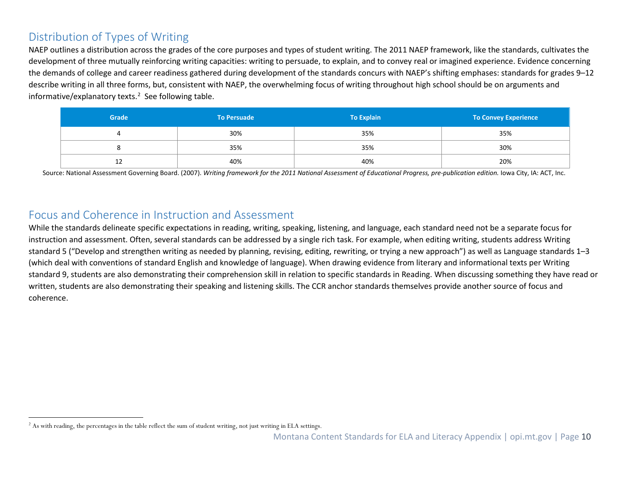# <span id="page-9-2"></span><span id="page-9-0"></span>Distribution of Types of Writing

NAEP outlines a distribution across the grades of the core purposes and types of student writing. The 2011 NAEP framework, like the standards, cultivates the development of three mutually reinforcing writing capacities: writing to persuade, to explain, and to convey real or imagined experience. Evidence concerning the demands of college and career readiness gathered during development of the standards concurs with NAEP's shifting emphases: standards for grades 9–12 describe writing in all three forms, but, consistent with NAEP, the overwhelming focus of writing throughout high school should be on arguments and informative/explanatory texts.<sup>[2](#page-9-2)</sup> See following table.

| Grade | <b>To Persuade</b> | <b>To Explain</b> | <b>To Convey Experience</b> |  |  |  |
|-------|--------------------|-------------------|-----------------------------|--|--|--|
|       | 30%                | 35%               | 35%                         |  |  |  |
|       | 35%                | 35%               | 30%                         |  |  |  |
| 12    | 40%                | 40%               | 20%                         |  |  |  |

<span id="page-9-1"></span>Source: National Assessment Governing Board. (2007). *Writing framework for the 2011 National Assessment of Educational Progress, pre-publication edition.* Iowa City, IA: ACT, Inc.

### Focus and Coherence in Instruction and Assessment

While the standards delineate specific expectations in reading, writing, speaking, listening, and language, each standard need not be a separate focus for instruction and assessment. Often, several standards can be addressed by a single rich task. For example, when editing writing, students address Writing standard 5 ("Develop and strengthen writing as needed by planning, revising, editing, rewriting, or trying a new approach") as well as Language standards 1–3 (which deal with conventions of standard English and knowledge of language). When drawing evidence from literary and informational texts per Writing standard 9, students are also demonstrating their comprehension skill in relation to specific standards in Reading. When discussing something they have read or written, students are also demonstrating their speaking and listening skills. The CCR anchor standards themselves provide another source of focus and coherence.

 $\overline{a}$ 

<sup>&</sup>lt;sup>2</sup> As with reading, the percentages in the table reflect the sum of student writing, not just writing in ELA settings.